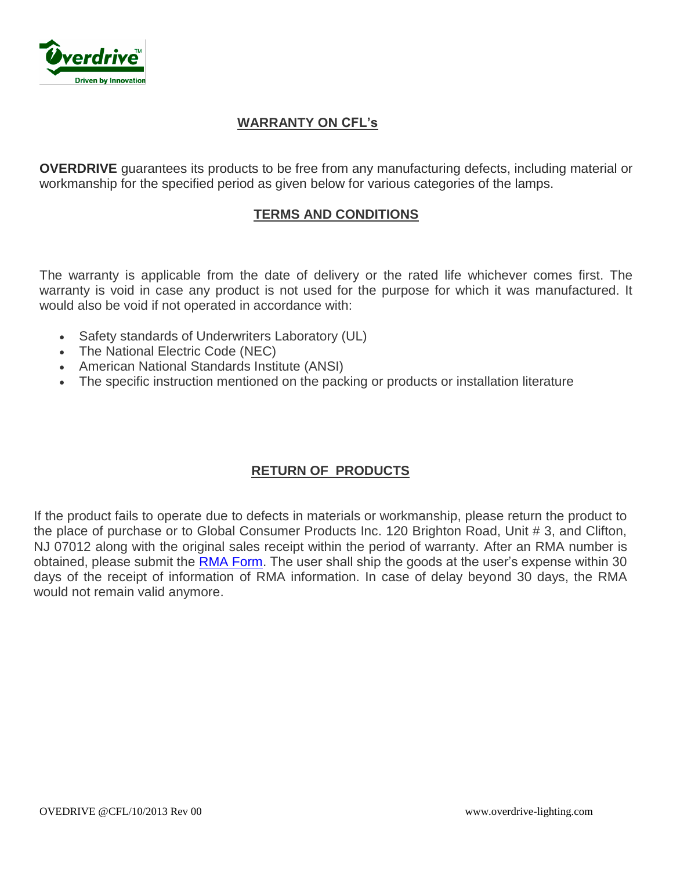

## **WARRANTY ON CFL's**

**OVERDRIVE** guarantees its products to be free from any manufacturing defects, including material or workmanship for the specified period as given below for various categories of the lamps.

#### **TERMS AND CONDITIONS**

The warranty is applicable from the date of delivery or the rated life whichever comes first. The warranty is void in case any product is not used for the purpose for which it was manufactured. It would also be void if not operated in accordance with:

- Safety standards of Underwriters Laboratory (UL)
- The National Electric Code (NEC)
- American National Standards Institute (ANSI)
- The specific instruction mentioned on the packing or products or installation literature

# **RETURN OF PRODUCTS**

If the product fails to operate due to defects in materials or workmanship, please return the product to the place of purchase or to Global Consumer Products Inc. 120 Brighton Road, Unit # 3, and Clifton, NJ 07012 along with the original sales receipt within the period of warranty. After an RMA number is obtained, please submit the RMA Form. The user shall ship the goods at the user's expense within 30 days of the receipt of information of RMA information. In case of delay beyond 30 days, the RMA would not remain valid anymore.